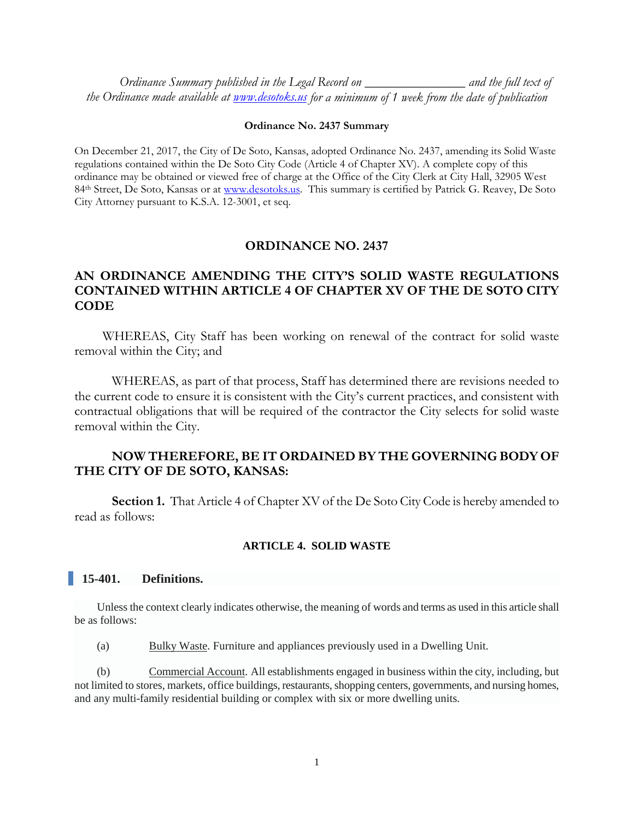*Ordinance Summary published in the Legal Record on \_\_\_\_\_\_\_\_\_\_\_\_\_\_\_ and the full text of the Ordinance made available at [www.desotoks.us](http://www.desotoks.us/) for a minimum of 1 week from the date of publication*

#### **Ordinance No. 2437 Summary**

On December 21, 2017, the City of De Soto, Kansas, adopted Ordinance No. 2437, amending its Solid Waste regulations contained within the De Soto City Code (Article 4 of Chapter XV). A complete copy of this ordinance may be obtained or viewed free of charge at the Office of the City Clerk at City Hall, 32905 West 84<sup>th</sup> Street, De Soto, Kansas or at [www.desotoks.us.](http://www.desotoks.us/) This summary is certified by Patrick G. Reavey, De Soto City Attorney pursuant to K.S.A. 12-3001, et seq.

## **ORDINANCE NO. 2437**

# **AN ORDINANCE AMENDING THE CITY'S SOLID WASTE REGULATIONS CONTAINED WITHIN ARTICLE 4 OF CHAPTER XV OF THE DE SOTO CITY CODE**

WHEREAS, City Staff has been working on renewal of the contract for solid waste removal within the City; and

WHEREAS, as part of that process, Staff has determined there are revisions needed to the current code to ensure it is consistent with the City's current practices, and consistent with contractual obligations that will be required of the contractor the City selects for solid waste removal within the City.

# **NOW THEREFORE, BE IT ORDAINED BY THE GOVERNING BODY OF THE CITY OF DE SOTO, KANSAS:**

**Section 1.** That Article 4 of Chapter XV of the De Soto City Code is hereby amended to read as follows:

#### **ARTICLE 4. SOLID WASTE**

## **15-401. Definitions.**

Unless the context clearly indicates otherwise, the meaning of words and terms as used in this article shall be as follows:

(a) Bulky Waste. Furniture and appliances previously used in a Dwelling Unit.

(b) Commercial Account. All establishments engaged in business within the city, including, but not limited to stores, markets, office buildings, restaurants, shopping centers, governments, and nursing homes, and any multi-family residential building or complex with six or more dwelling units.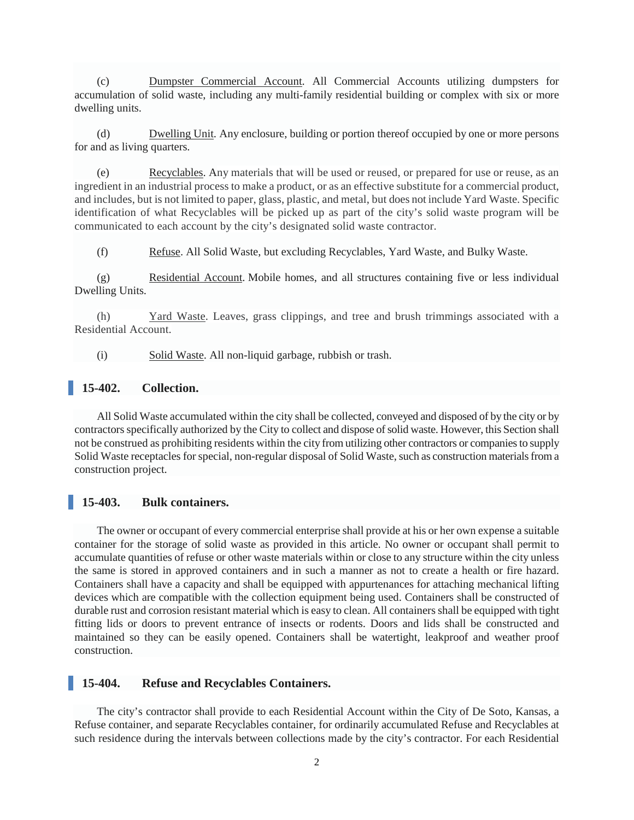(c) Dumpster Commercial Account. All Commercial Accounts utilizing dumpsters for accumulation of solid waste, including any multi-family residential building or complex with six or more dwelling units.

(d) Dwelling Unit. Any enclosure, building or portion thereof occupied by one or more persons for and as living quarters.

(e) Recyclables. Any materials that will be used or reused, or prepared for use or reuse, as an ingredient in an industrial process to make a product, or as an effective substitute for a commercial product, and includes, but is not limited to paper, glass, plastic, and metal, but does not include Yard Waste. Specific identification of what Recyclables will be picked up as part of the city's solid waste program will be communicated to each account by the city's designated solid waste contractor.

(f) Refuse. All Solid Waste, but excluding Recyclables, Yard Waste, and Bulky Waste.

(g) Residential Account. Mobile homes, and all structures containing five or less individual Dwelling Units.

(h) Yard Waste. Leaves, grass clippings, and tree and brush trimmings associated with a Residential Account.

(i) Solid Waste. All non-liquid garbage, rubbish or trash.

## **15-402. Collection.**

All Solid Waste accumulated within the city shall be collected, conveyed and disposed of by the city or by contractors specifically authorized by the City to collect and dispose of solid waste. However, this Section shall not be construed as prohibiting residents within the city from utilizing other contractors or companies to supply Solid Waste receptacles for special, non-regular disposal of Solid Waste, such as construction materials from a construction project.

#### **15-403. Bulk containers.**

The owner or occupant of every commercial enterprise shall provide at his or her own expense a suitable container for the storage of solid waste as provided in this article. No owner or occupant shall permit to accumulate quantities of refuse or other waste materials within or close to any structure within the city unless the same is stored in approved containers and in such a manner as not to create a health or fire hazard. Containers shall have a capacity and shall be equipped with appurtenances for attaching mechanical lifting devices which are compatible with the collection equipment being used. Containers shall be constructed of durable rust and corrosion resistant material which is easy to clean. All containers shall be equipped with tight fitting lids or doors to prevent entrance of insects or rodents. Doors and lids shall be constructed and maintained so they can be easily opened. Containers shall be watertight, leakproof and weather proof construction.

#### **15-404. Refuse and Recyclables Containers.**

The city's contractor shall provide to each Residential Account within the City of De Soto, Kansas, a Refuse container, and separate Recyclables container, for ordinarily accumulated Refuse and Recyclables at such residence during the intervals between collections made by the city's contractor. For each Residential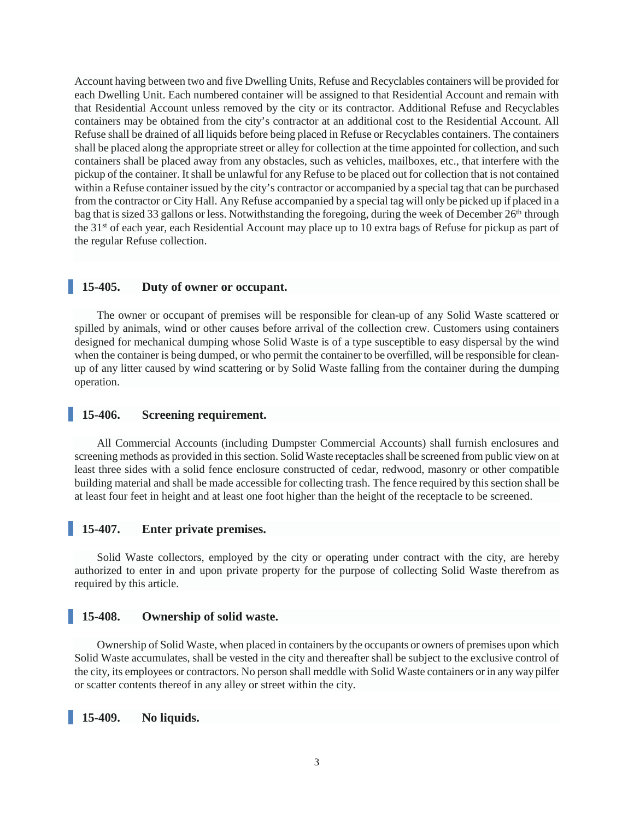Account having between two and five Dwelling Units, Refuse and Recyclables containers will be provided for each Dwelling Unit. Each numbered container will be assigned to that Residential Account and remain with that Residential Account unless removed by the city or its contractor. Additional Refuse and Recyclables containers may be obtained from the city's contractor at an additional cost to the Residential Account. All Refuse shall be drained of all liquids before being placed in Refuse or Recyclables containers. The containers shall be placed along the appropriate street or alley for collection at the time appointed for collection, and such containers shall be placed away from any obstacles, such as vehicles, mailboxes, etc., that interfere with the pickup of the container. It shall be unlawful for any Refuse to be placed out for collection that is not contained within a Refuse container issued by the city's contractor or accompanied by a special tag that can be purchased from the contractor or City Hall. Any Refuse accompanied by a special tag will only be picked up if placed in a bag that is sized 33 gallons or less. Notwithstanding the foregoing, during the week of December 26<sup>th</sup> through the 31st of each year, each Residential Account may place up to 10 extra bags of Refuse for pickup as part of the regular Refuse collection.

## **15-405. Duty of owner or occupant.**

The owner or occupant of premises will be responsible for clean-up of any Solid Waste scattered or spilled by animals, wind or other causes before arrival of the collection crew. Customers using containers designed for mechanical dumping whose Solid Waste is of a type susceptible to easy dispersal by the wind when the container is being dumped, or who permit the container to be overfilled, will be responsible for cleanup of any litter caused by wind scattering or by Solid Waste falling from the container during the dumping operation.

### **15-406. Screening requirement.**

All Commercial Accounts (including Dumpster Commercial Accounts) shall furnish enclosures and screening methods as provided in this section. Solid Waste receptacles shall be screened from public view on at least three sides with a solid fence enclosure constructed of cedar, redwood, masonry or other compatible building material and shall be made accessible for collecting trash. The fence required by this section shall be at least four feet in height and at least one foot higher than the height of the receptacle to be screened.

# **15-407. Enter private premises.**

Solid Waste collectors, employed by the city or operating under contract with the city, are hereby authorized to enter in and upon private property for the purpose of collecting Solid Waste therefrom as required by this article.

#### **15-408. Ownership of solid waste.**

Ownership of Solid Waste, when placed in containers by the occupants or owners of premises upon which Solid Waste accumulates, shall be vested in the city and thereafter shall be subject to the exclusive control of the city, its employees or contractors. No person shall meddle with Solid Waste containers or in any way pilfer or scatter contents thereof in any alley or street within the city.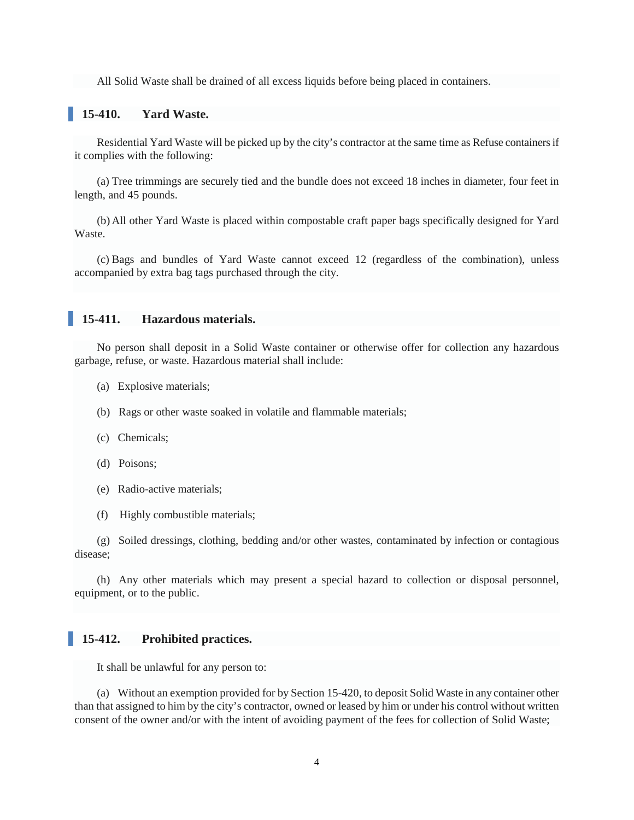All Solid Waste shall be drained of all excess liquids before being placed in containers.

## **15-410. Yard Waste.**

Residential Yard Waste will be picked up by the city's contractor at the same time as Refuse containersif it complies with the following:

(a) Tree trimmings are securely tied and the bundle does not exceed 18 inches in diameter, four feet in length, and 45 pounds.

(b) All other Yard Waste is placed within compostable craft paper bags specifically designed for Yard Waste.

(c) Bags and bundles of Yard Waste cannot exceed 12 (regardless of the combination), unless accompanied by extra bag tags purchased through the city.

#### **15-411. Hazardous materials.**

No person shall deposit in a Solid Waste container or otherwise offer for collection any hazardous garbage, refuse, or waste. Hazardous material shall include:

- (a) Explosive materials;
- (b) Rags or other waste soaked in volatile and flammable materials;
- (c) Chemicals;
- (d) Poisons;
- (e) Radio-active materials;
- (f) Highly combustible materials;

(g) Soiled dressings, clothing, bedding and/or other wastes, contaminated by infection or contagious disease;

(h) Any other materials which may present a special hazard to collection or disposal personnel, equipment, or to the public.

### **15-412. Prohibited practices.**

It shall be unlawful for any person to:

(a) Without an exemption provided for by Section 15-420, to deposit Solid Waste in any container other than that assigned to him by the city's contractor, owned or leased by him or under his control without written consent of the owner and/or with the intent of avoiding payment of the fees for collection of Solid Waste;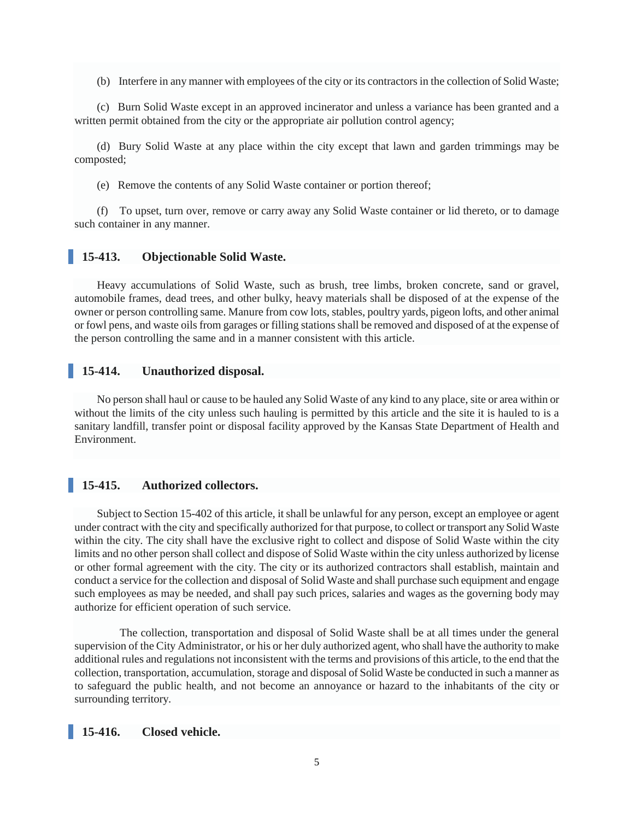(b) Interfere in any manner with employees of the city or its contractors in the collection of Solid Waste;

(c) Burn Solid Waste except in an approved incinerator and unless a variance has been granted and a written permit obtained from the city or the appropriate air pollution control agency;

(d) Bury Solid Waste at any place within the city except that lawn and garden trimmings may be composted;

(e) Remove the contents of any Solid Waste container or portion thereof;

(f) To upset, turn over, remove or carry away any Solid Waste container or lid thereto, or to damage such container in any manner.

### **15-413. Objectionable Solid Waste.**

Heavy accumulations of Solid Waste, such as brush, tree limbs, broken concrete, sand or gravel, automobile frames, dead trees, and other bulky, heavy materials shall be disposed of at the expense of the owner or person controlling same. Manure from cow lots, stables, poultry yards, pigeon lofts, and other animal or fowl pens, and waste oils from garages or filling stations shall be removed and disposed of at the expense of the person controlling the same and in a manner consistent with this article.

# **15-414. Unauthorized disposal.**

No person shall haul or cause to be hauled any Solid Waste of any kind to any place, site or area within or without the limits of the city unless such hauling is permitted by this article and the site it is hauled to is a sanitary landfill, transfer point or disposal facility approved by the Kansas State Department of Health and Environment.

## **15-415. Authorized collectors.**

Subject to Section 15-402 of this article, it shall be unlawful for any person, except an employee or agent under contract with the city and specifically authorized for that purpose, to collect or transport any Solid Waste within the city. The city shall have the exclusive right to collect and dispose of Solid Waste within the city limits and no other person shall collect and dispose of Solid Waste within the city unless authorized by license or other formal agreement with the city. The city or its authorized contractors shall establish, maintain and conduct a service for the collection and disposal of Solid Waste and shall purchase such equipment and engage such employees as may be needed, and shall pay such prices, salaries and wages as the governing body may authorize for efficient operation of such service.

 The collection, transportation and disposal of Solid Waste shall be at all times under the general supervision of the City Administrator, or his or her duly authorized agent, who shall have the authority to make additional rules and regulations not inconsistent with the terms and provisions of this article, to the end that the collection, transportation, accumulation, storage and disposal of Solid Waste be conducted in such a manner as to safeguard the public health, and not become an annoyance or hazard to the inhabitants of the city or surrounding territory.

#### **15-416. Closed vehicle.**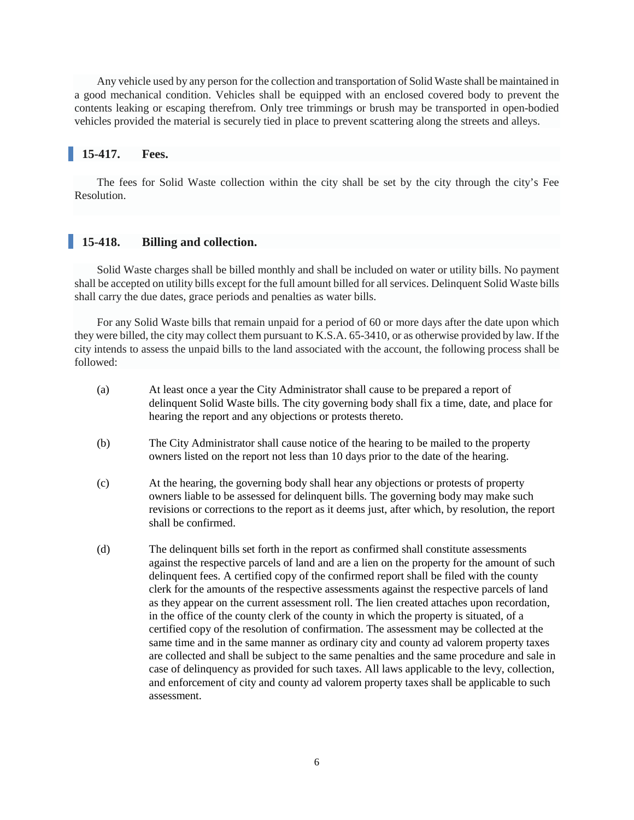Any vehicle used by any person for the collection and transportation of Solid Waste shall be maintained in a good mechanical condition. Vehicles shall be equipped with an enclosed covered body to prevent the contents leaking or escaping therefrom. Only tree trimmings or brush may be transported in open-bodied vehicles provided the material is securely tied in place to prevent scattering along the streets and alleys.

# **15-417. Fees.**

The fees for Solid Waste collection within the city shall be set by the city through the city's Fee Resolution.

## **15-418. Billing and collection.**

Solid Waste charges shall be billed monthly and shall be included on water or utility bills. No payment shall be accepted on utility bills except for the full amount billed for all services. Delinquent Solid Waste bills shall carry the due dates, grace periods and penalties as water bills.

For any Solid Waste bills that remain unpaid for a period of 60 or more days after the date upon which they were billed, the city may collect them pursuant to K.S.A. 65-3410, or as otherwise provided by law. If the city intends to assess the unpaid bills to the land associated with the account, the following process shall be followed:

- (a) At least once a year the City Administrator shall cause to be prepared a report of delinquent Solid Waste bills. The city governing body shall fix a time, date, and place for hearing the report and any objections or protests thereto.
- (b) The City Administrator shall cause notice of the hearing to be mailed to the property owners listed on the report not less than 10 days prior to the date of the hearing.
- (c) At the hearing, the governing body shall hear any objections or protests of property owners liable to be assessed for delinquent bills. The governing body may make such revisions or corrections to the report as it deems just, after which, by resolution, the report shall be confirmed.
- (d) The delinquent bills set forth in the report as confirmed shall constitute assessments against the respective parcels of land and are a lien on the property for the amount of such delinquent fees. A certified copy of the confirmed report shall be filed with the county clerk for the amounts of the respective assessments against the respective parcels of land as they appear on the current assessment roll. The lien created attaches upon recordation, in the office of the county clerk of the county in which the property is situated, of a certified copy of the resolution of confirmation. The assessment may be collected at the same time and in the same manner as ordinary city and county ad valorem property taxes are collected and shall be subject to the same penalties and the same procedure and sale in case of delinquency as provided for such taxes. All laws applicable to the levy, collection, and enforcement of city and county ad valorem property taxes shall be applicable to such assessment.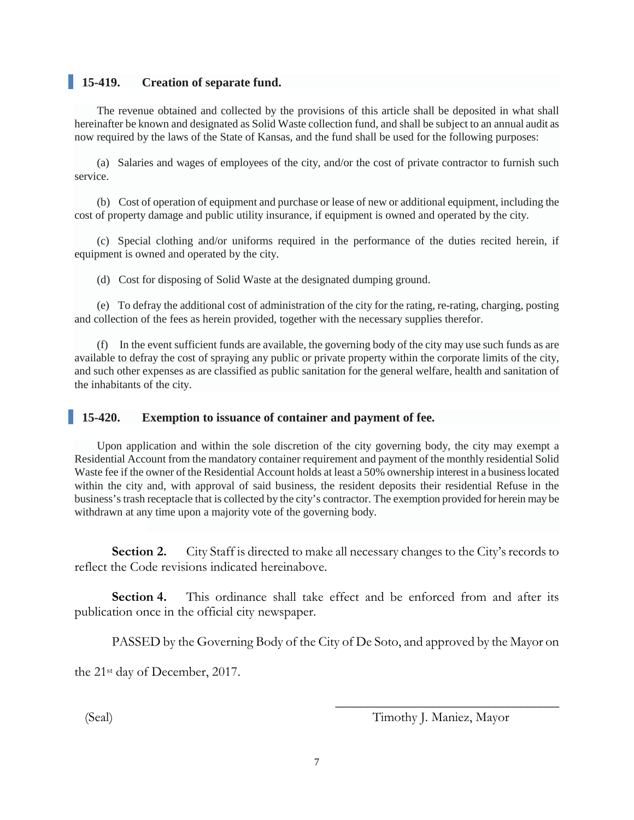# **15-419. Creation of separate fund.**

The revenue obtained and collected by the provisions of this article shall be deposited in what shall hereinafter be known and designated as Solid Waste collection fund, and shall be subject to an annual audit as now required by the laws of the State of Kansas, and the fund shall be used for the following purposes:

(a) Salaries and wages of employees of the city, and/or the cost of private contractor to furnish such service.

(b) Cost of operation of equipment and purchase or lease of new or additional equipment, including the cost of property damage and public utility insurance, if equipment is owned and operated by the city.

(c) Special clothing and/or uniforms required in the performance of the duties recited herein, if equipment is owned and operated by the city.

(d) Cost for disposing of Solid Waste at the designated dumping ground.

(e) To defray the additional cost of administration of the city for the rating, re-rating, charging, posting and collection of the fees as herein provided, together with the necessary supplies therefor.

(f) In the event sufficient funds are available, the governing body of the city may use such funds as are available to defray the cost of spraying any public or private property within the corporate limits of the city, and such other expenses as are classified as public sanitation for the general welfare, health and sanitation of the inhabitants of the city.

### **15-420. Exemption to issuance of container and payment of fee.**

Upon application and within the sole discretion of the city governing body, the city may exempt a Residential Account from the mandatory container requirement and payment of the monthly residential Solid Waste fee if the owner of the Residential Account holds at least a 50% ownership interest in a business located within the city and, with approval of said business, the resident deposits their residential Refuse in the business'strash receptacle that is collected by the city's contractor. The exemption provided for herein may be withdrawn at any time upon a majority vote of the governing body.

**Section 2.** City Staff is directed to make all necessary changes to the City's records to reflect the Code revisions indicated hereinabove.

**Section 4.** This ordinance shall take effect and be enforced from and after its publication once in the official city newspaper.

PASSED by the Governing Body of the City of De Soto, and approved by the Mayor on

the 21st day of December, 2017.

\_\_\_\_\_\_\_\_\_\_\_\_\_\_\_\_\_\_\_\_\_\_\_\_\_\_\_\_\_\_\_\_\_\_\_ (Seal) Timothy J. Maniez, Mayor